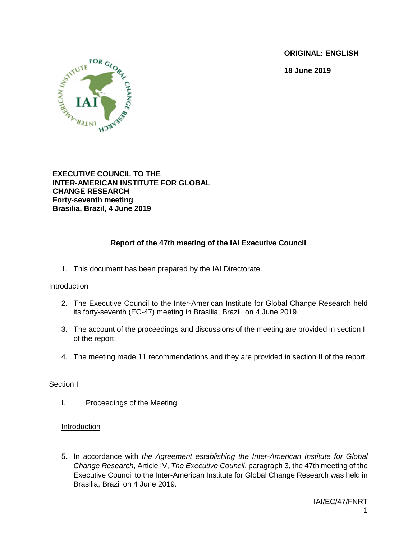**ORIGINAL: ENGLISH**

**18 June 2019**



**EXECUTIVE COUNCIL TO THE INTER-AMERICAN INSTITUTE FOR GLOBAL CHANGE RESEARCH Forty-seventh meeting Brasilia, Brazil, 4 June 2019**

# **Report of the 47th meeting of the IAI Executive Council**

1. This document has been prepared by the IAI Directorate.

### Introduction

- 2. The Executive Council to the Inter-American Institute for Global Change Research held its forty-seventh (EC-47) meeting in Brasilia, Brazil, on 4 June 2019.
- 3. The account of the proceedings and discussions of the meeting are provided in section I of the report.
- 4. The meeting made 11 recommendations and they are provided in section II of the report.

### Section I

I. Proceedings of the Meeting

### Introduction

5. In accordance with *the Agreement establishing the Inter-American Institute for Global Change Research*, Article IV, *The Executive Council*, paragraph 3, the 47th meeting of the Executive Council to the Inter-American Institute for Global Change Research was held in Brasilia, Brazil on 4 June 2019.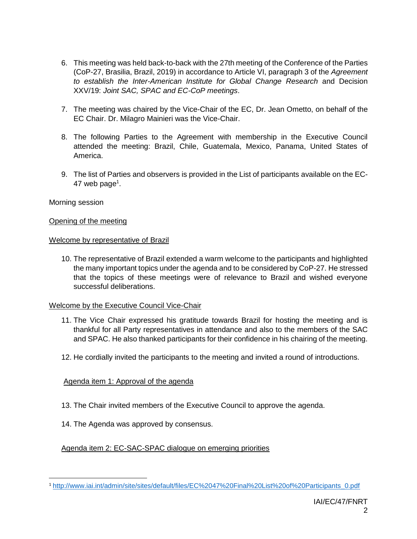- 6. This meeting was held back-to-back with the 27th meeting of the Conference of the Parties (CoP-27, Brasilia, Brazil, 2019) in accordance to Article VI, paragraph 3 of the *Agreement to establish the Inter-American Institute for Global Change Research* and Decision XXV/19: *Joint SAC, SPAC and EC-CoP meetings*.
- 7. The meeting was chaired by the Vice-Chair of the EC, Dr. Jean Ometto, on behalf of the EC Chair. Dr. Milagro Mainieri was the Vice-Chair.
- 8. The following Parties to the Agreement with membership in the Executive Council attended the meeting: Brazil, Chile, Guatemala, Mexico, Panama, United States of America.
- 9. The list of Parties and observers is provided in the List of participants available on the EC- $47$  web page<sup>1</sup>.

### Morning session

 $\overline{\phantom{a}}$ 

### Opening of the meeting

### Welcome by representative of Brazil

10. The representative of Brazil extended a warm welcome to the participants and highlighted the many important topics under the agenda and to be considered by CoP-27. He stressed that the topics of these meetings were of relevance to Brazil and wished everyone successful deliberations.

### Welcome by the Executive Council Vice-Chair

- 11. The Vice Chair expressed his gratitude towards Brazil for hosting the meeting and is thankful for all Party representatives in attendance and also to the members of the SAC and SPAC. He also thanked participants for their confidence in his chairing of the meeting.
- 12. He cordially invited the participants to the meeting and invited a round of introductions.

### Agenda item 1: Approval of the agenda

- 13. The Chair invited members of the Executive Council to approve the agenda.
- 14. The Agenda was approved by consensus.

Agenda item 2: EC-SAC-SPAC dialogue on emerging priorities

<sup>1</sup> [http://www.iai.int/admin/site/sites/default/files/EC%2047%20Final%20List%20of%20Participants\\_0.pdf](http://www.iai.int/admin/site/sites/default/files/EC%2047%20Final%20List%20of%20Participants_0.pdf)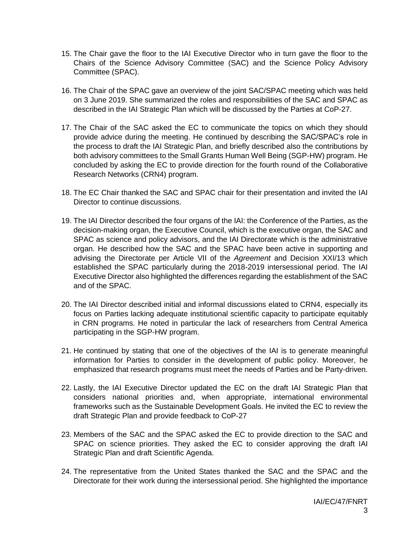- 15. The Chair gave the floor to the IAI Executive Director who in turn gave the floor to the Chairs of the Science Advisory Committee (SAC) and the Science Policy Advisory Committee (SPAC).
- 16. The Chair of the SPAC gave an overview of the joint SAC/SPAC meeting which was held on 3 June 2019. She summarized the roles and responsibilities of the SAC and SPAC as described in the IAI Strategic Plan which will be discussed by the Parties at CoP-27.
- 17. The Chair of the SAC asked the EC to communicate the topics on which they should provide advice during the meeting. He continued by describing the SAC/SPAC's role in the process to draft the IAI Strategic Plan, and briefly described also the contributions by both advisory committees to the Small Grants Human Well Being (SGP-HW) program. He concluded by asking the EC to provide direction for the fourth round of the Collaborative Research Networks (CRN4) program.
- 18. The EC Chair thanked the SAC and SPAC chair for their presentation and invited the IAI Director to continue discussions.
- 19. The IAI Director described the four organs of the IAI: the Conference of the Parties, as the decision-making organ, the Executive Council, which is the executive organ, the SAC and SPAC as science and policy advisors, and the IAI Directorate which is the administrative organ. He described how the SAC and the SPAC have been active in supporting and advising the Directorate per Article VII of the *Agreement* and Decision XXI/13 which established the SPAC particularly during the 2018-2019 intersessional period. The IAI Executive Director also highlighted the differences regarding the establishment of the SAC and of the SPAC.
- 20. The IAI Director described initial and informal discussions elated to CRN4, especially its focus on Parties lacking adequate institutional scientific capacity to participate equitably in CRN programs. He noted in particular the lack of researchers from Central America participating in the SGP-HW program.
- 21. He continued by stating that one of the objectives of the IAI is to generate meaningful information for Parties to consider in the development of public policy. Moreover, he emphasized that research programs must meet the needs of Parties and be Party-driven.
- 22. Lastly, the IAI Executive Director updated the EC on the draft IAI Strategic Plan that considers national priorities and, when appropriate, international environmental frameworks such as the Sustainable Development Goals. He invited the EC to review the draft Strategic Plan and provide feedback to CoP-27
- 23. Members of the SAC and the SPAC asked the EC to provide direction to the SAC and SPAC on science priorities. They asked the EC to consider approving the draft IAI Strategic Plan and draft Scientific Agenda.
- 24. The representative from the United States thanked the SAC and the SPAC and the Directorate for their work during the intersessional period. She highlighted the importance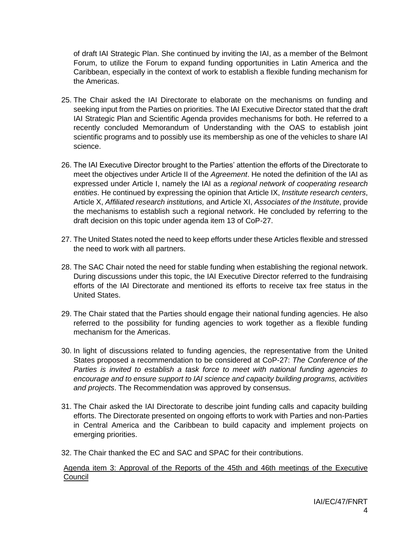of draft IAI Strategic Plan. She continued by inviting the IAI, as a member of the Belmont Forum, to utilize the Forum to expand funding opportunities in Latin America and the Caribbean, especially in the context of work to establish a flexible funding mechanism for the Americas.

- 25. The Chair asked the IAI Directorate to elaborate on the mechanisms on funding and seeking input from the Parties on priorities. The IAI Executive Director stated that the draft IAI Strategic Plan and Scientific Agenda provides mechanisms for both. He referred to a recently concluded Memorandum of Understanding with the OAS to establish joint scientific programs and to possibly use its membership as one of the vehicles to share IAI science.
- 26. The IAI Executive Director brought to the Parties' attention the efforts of the Directorate to meet the objectives under Article II of the *Agreement*. He noted the definition of the IAI as expressed under Article I, namely the IAI as a *regional network of cooperating research entities*. He continued by expressing the opinion that Article IX, *Institute research centers*, Article X, *Affiliated research institutions,* and Article XI, *Associates of the Institute*, provide the mechanisms to establish such a regional network. He concluded by referring to the draft decision on this topic under agenda item 13 of CoP-27.
- 27. The United States noted the need to keep efforts under these Articles flexible and stressed the need to work with all partners.
- 28. The SAC Chair noted the need for stable funding when establishing the regional network. During discussions under this topic, the IAI Executive Director referred to the fundraising efforts of the IAI Directorate and mentioned its efforts to receive tax free status in the United States.
- 29. The Chair stated that the Parties should engage their national funding agencies. He also referred to the possibility for funding agencies to work together as a flexible funding mechanism for the Americas.
- 30. In light of discussions related to funding agencies, the representative from the United States proposed a recommendation to be considered at CoP-27: *The Conference of the Parties is invited to establish a task force to meet with national funding agencies to encourage and to ensure support to IAI science and capacity building programs, activities and projects*. The Recommendation was approved by consensus.
- 31. The Chair asked the IAI Directorate to describe joint funding calls and capacity building efforts. The Directorate presented on ongoing efforts to work with Parties and non-Parties in Central America and the Caribbean to build capacity and implement projects on emerging priorities.
- 32. The Chair thanked the EC and SAC and SPAC for their contributions.

Agenda item 3: Approval of the Reports of the 45th and 46th meetings of the Executive Council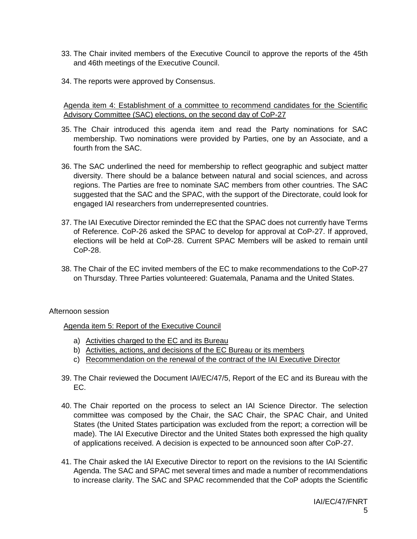- 33. The Chair invited members of the Executive Council to approve the reports of the 45th and 46th meetings of the Executive Council.
- 34. The reports were approved by Consensus.

Agenda item 4: Establishment of a committee to recommend candidates for the Scientific Advisory Committee (SAC) elections, on the second day of CoP-27

- 35. The Chair introduced this agenda item and read the Party nominations for SAC membership. Two nominations were provided by Parties, one by an Associate, and a fourth from the SAC.
- 36. The SAC underlined the need for membership to reflect geographic and subject matter diversity. There should be a balance between natural and social sciences, and across regions. The Parties are free to nominate SAC members from other countries. The SAC suggested that the SAC and the SPAC, with the support of the Directorate, could look for engaged IAI researchers from underrepresented countries.
- 37. The IAI Executive Director reminded the EC that the SPAC does not currently have Terms of Reference. CoP-26 asked the SPAC to develop for approval at CoP-27. If approved, elections will be held at CoP-28. Current SPAC Members will be asked to remain until CoP-28.
- 38. The Chair of the EC invited members of the EC to make recommendations to the CoP-27 on Thursday. Three Parties volunteered: Guatemala, Panama and the United States.

### Afternoon session

Agenda item 5: Report of the Executive Council

- a) Activities charged to the EC and its Bureau
- b) Activities, actions, and decisions of the EC Bureau or its members
- c) Recommendation on the renewal of the contract of the IAI Executive Director
- 39. The Chair reviewed the Document IAI/EC/47/5, Report of the EC and its Bureau with the EC.
- 40. The Chair reported on the process to select an IAI Science Director. The selection committee was composed by the Chair, the SAC Chair, the SPAC Chair, and United States (the United States participation was excluded from the report; a correction will be made). The IAI Executive Director and the United States both expressed the high quality of applications received. A decision is expected to be announced soon after CoP-27.
- 41. The Chair asked the IAI Executive Director to report on the revisions to the IAI Scientific Agenda. The SAC and SPAC met several times and made a number of recommendations to increase clarity. The SAC and SPAC recommended that the CoP adopts the Scientific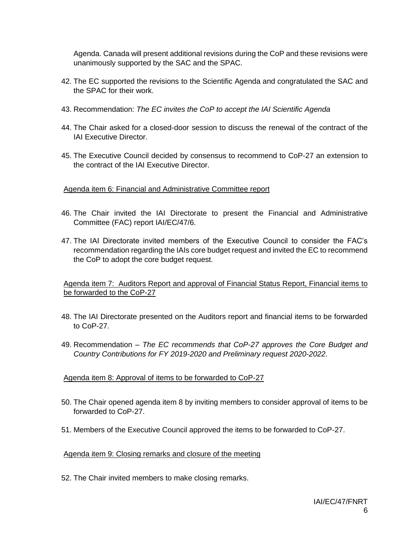Agenda. Canada will present additional revisions during the CoP and these revisions were unanimously supported by the SAC and the SPAC.

- 42. The EC supported the revisions to the Scientific Agenda and congratulated the SAC and the SPAC for their work.
- 43. Recommendation: *The EC invites the CoP to accept the IAI Scientific Agenda*
- 44. The Chair asked for a closed-door session to discuss the renewal of the contract of the IAI Executive Director.
- 45. The Executive Council decided by consensus to recommend to CoP-27 an extension to the contract of the IAI Executive Director.

### Agenda item 6: Financial and Administrative Committee report

- 46. The Chair invited the IAI Directorate to present the Financial and Administrative Committee (FAC) report IAI/EC/47/6.
- 47. The IAI Directorate invited members of the Executive Council to consider the FAC's recommendation regarding the IAIs core budget request and invited the EC to recommend the CoP to adopt the core budget request.

Agenda item 7: Auditors Report and approval of Financial Status Report, Financial items to be forwarded to the CoP-27

- 48. The IAI Directorate presented on the Auditors report and financial items to be forwarded to CoP-27.
- 49. Recommendation *The EC recommends that CoP-27 approves the Core Budget and Country Contributions for FY 2019-2020 and Preliminary request 2020-2022*.

### Agenda item 8: Approval of items to be forwarded to CoP-27

- 50. The Chair opened agenda item 8 by inviting members to consider approval of items to be forwarded to CoP-27.
- 51. Members of the Executive Council approved the items to be forwarded to CoP-27.

#### Agenda item 9: Closing remarks and closure of the meeting

52. The Chair invited members to make closing remarks.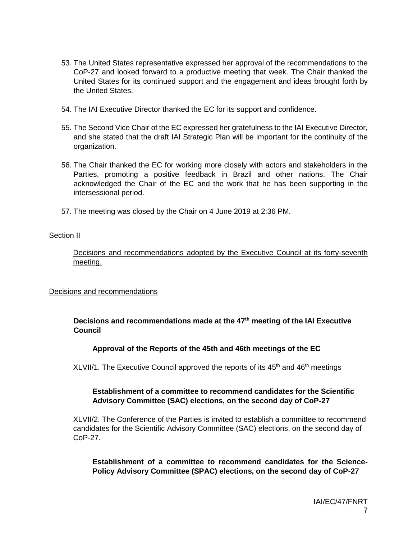- 53. The United States representative expressed her approval of the recommendations to the CoP-27 and looked forward to a productive meeting that week. The Chair thanked the United States for its continued support and the engagement and ideas brought forth by the United States.
- 54. The IAI Executive Director thanked the EC for its support and confidence.
- 55. The Second Vice Chair of the EC expressed her gratefulness to the IAI Executive Director, and she stated that the draft IAI Strategic Plan will be important for the continuity of the organization.
- 56. The Chair thanked the EC for working more closely with actors and stakeholders in the Parties, promoting a positive feedback in Brazil and other nations. The Chair acknowledged the Chair of the EC and the work that he has been supporting in the intersessional period.
- 57. The meeting was closed by the Chair on 4 June 2019 at 2:36 PM.

### Section II

Decisions and recommendations adopted by the Executive Council at its forty-seventh meeting.

### Decisions and recommendations

### **Decisions and recommendations made at the 47 th meeting of the IAI Executive Council**

### **Approval of the Reports of the 45th and 46th meetings of the EC**

XLVII/1. The Executive Council approved the reports of its 45<sup>th</sup> and 46<sup>th</sup> meetings

### **Establishment of a committee to recommend candidates for the Scientific Advisory Committee (SAC) elections, on the second day of CoP-27**

XLVII/2. The Conference of the Parties is invited to establish a committee to recommend candidates for the Scientific Advisory Committee (SAC) elections, on the second day of CoP-27.

**Establishment of a committee to recommend candidates for the Science-Policy Advisory Committee (SPAC) elections, on the second day of CoP-27**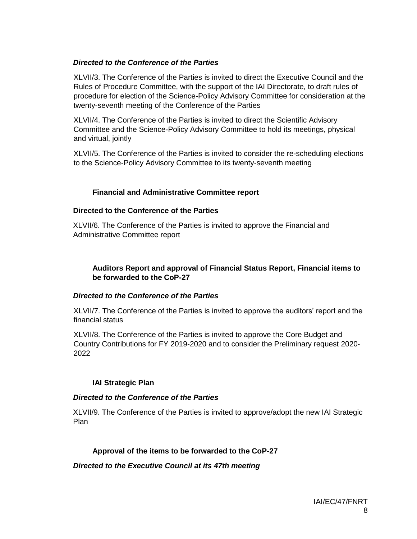### *Directed to the Conference of the Parties*

XLVII/3. The Conference of the Parties is invited to direct the Executive Council and the Rules of Procedure Committee, with the support of the IAI Directorate, to draft rules of procedure for election of the Science-Policy Advisory Committee for consideration at the twenty-seventh meeting of the Conference of the Parties

XLVII/4. The Conference of the Parties is invited to direct the Scientific Advisory Committee and the Science-Policy Advisory Committee to hold its meetings, physical and virtual, jointly

XLVII/5. The Conference of the Parties is invited to consider the re-scheduling elections to the Science-Policy Advisory Committee to its twenty-seventh meeting

### **Financial and Administrative Committee report**

### **Directed to the Conference of the Parties**

XLVII/6. The Conference of the Parties is invited to approve the Financial and Administrative Committee report

### **Auditors Report and approval of Financial Status Report, Financial items to be forwarded to the CoP-27**

### *Directed to the Conference of the Parties*

XLVII/7. The Conference of the Parties is invited to approve the auditors' report and the financial status

XLVII/8. The Conference of the Parties is invited to approve the Core Budget and Country Contributions for FY 2019-2020 and to consider the Preliminary request 2020- 2022

### **IAI Strategic Plan**

### *Directed to the Conference of the Parties*

XLVII/9. The Conference of the Parties is invited to approve/adopt the new IAI Strategic Plan

### **Approval of the items to be forwarded to the CoP-27**

*Directed to the Executive Council at its 47th meeting*